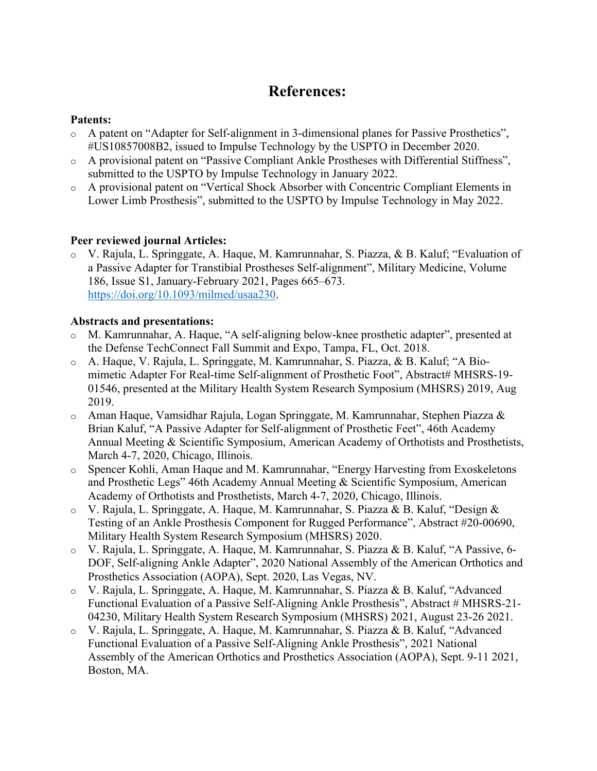## **References:**

## **Patents:**

- o A patent on "Adapter for Self-alignment in 3-dimensional planes for Passive Prosthetics", #US10857008B2, issued to Impulse Technology by the USPTO in December 2020.
- A provisional patent on "Passive Compliant Ankle Prostheses with Differential Stiffness", submitted to the USPTO by Impulse Technology in January 2022.
- o A provisional patent on "Vertical Shock Absorber with Concentric Compliant Elements in Lower Limb Prosthesis", submitted to the USPTO by Impulse Technology in May 2022.

## **Peer reviewed journal Articles:**

o V. Rajula, L. Springgate, A. Haque, M. Kamrunnahar, S. Piazza, & B. Kaluf; "Evaluation of a Passive Adapter for Transtibial Prostheses Self-alignment", Military Medicine, Volume 186, Issue S1, January-February 2021, Pages 665–673. https://doi.org/10.1093/milmed/usaa230.

## **Abstracts and presentations:**

- o M. Kamrunnahar, A. Haque, "A self-aligning below-knee prosthetic adapter", presented at the Defense TechConnect Fall Summit and Expo, Tampa, FL, Oct. 2018.
- o A. Haque, V. Rajula, L. Springgate, M. Kamrunnahar, S. Piazza, & B. Kaluf; "A Biomimetic Adapter For Real-time Self-alignment of Prosthetic Foot", Abstract# MHSRS-19-01546, presented at the Military Health System Research Symposium (MHSRS) 2019, Aug 2019.
- $\circ$  Aman Haque, Vamsidhar Rajula, Logan Springgate, M. Kamrunnahar, Stephen Piazza & Brian Kaluf, "A Passive Adapter for Self-alignment of Prosthetic Feet", 46th Academy Annual Meeting & Scientific Symposium, American Academy of Orthotists and Prosthetists, March 4-7, 2020, Chicago, Illinois.
- o Spencer Kohli, Aman Haque and M. Kamrunnahar, "Energy Harvesting from Exoskeletons and Prosthetic Legs" 46th Academy Annual Meeting & Scientific Symposium, American Academy of Orthotists and Prosthetists, March 4-7, 2020, Chicago, Illinois.
- o V. Rajula, L. Springgate, A. Haque, M. Kamrunnahar, S. Piazza & B. Kaluf, "Design & Testing of an Ankle Prosthesis Component for Rugged Performance", Abstract #20-00690, Military Health System Research Symposium (MHSRS) 2020.
- o V. Rajula, L. Springgate, A. Haque, M. Kamrunnahar, S. Piazza & B. Kaluf, "A Passive, 6- DOF, Self-aligning Ankle Adapter", 2020 National Assembly of the American Orthotics and Prosthetics Association (AOPA), Sept. 2020, Las Vegas, NV.
- o V. Rajula, L. Springgate, A. Haque, M. Kamrunnahar, S. Piazza & B. Kaluf, "Advanced Functional Evaluation of a Passive Self-Aligning Ankle Prosthesis", Abstract # MHSRS-21- 04230, Military Health System Research Symposium (MHSRS) 2021, August 23-26 2021.
- o V. Rajula, L. Springgate, A. Haque, M. Kamrunnahar, S. Piazza & B. Kaluf, "Advanced Functional Evaluation of a Passive Self-Aligning Ankle Prosthesis", 2021 National Assembly of the American Orthotics and Prosthetics Association (AOPA), Sept. 9-11 2021, Boston, MA.